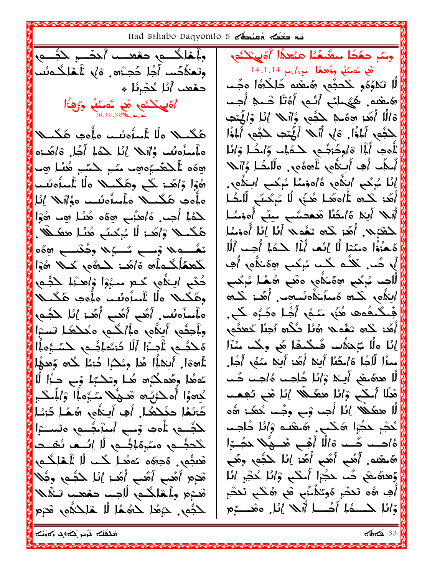ad Bshabo Daqyomto 5 مَلْمَعْلَمَ Had Bshabo Daqyomto 5 وأهلك وهمعب أحدّب لائب وسُرِ حَمَّدًا سَعَّسُنَا عَنْعَدًا أَهْلِيَكْتُمْ تَعَ شَمَعًا وَأَهْهَا مِنْ الْمِنْ 14.1.14 وتَعَكَّكَتَ أَجُلٌ حُجِبْرَهِ. ۞لِي غُلْمُلَكُتَّمَنَّت لًا تَدْوَّهُو ݣُحَجُّهِ ۖ هُـعْنَه خَالْحُهُا وَجَّــَـ حقعد آئا حُجْرِئا \* |هَــمْده ـ هَيُــملَّــ أَنْـم أَهْتُلْ شَـــم أَجــد اَوْلِيْكُمْ مِنْ مُهْتَمَمُ وَرُقِيَّا ةُ/لًا أُهُدَ وِهَمْ حَجَّمٍ وُٱلْحَدِّ إِمَّا وَ}لَّهُ عَبَ هَكْسِلًا هِ لَا غْسِزُوسُت هِ أُوجِ هَكْسِلًا َحْجُمٍ ٱلْمُؤَلِّ ۚ وَلَى ٱلۡكَلَّا ٱلۡكُتِبِ حَجَمَى ٱلۡلَهَٰٓا هِ أَسِدُّهِ نُسْ وُأَنَّمَكُمْ إِنَّا لَكُمَا أَجُلَ وَاهُدِهِ لْمُعِبِّ ٱلْمَالَ هَ ُوحُرْثُــع حَـــمُلِت وَّامَــُـل وَائل أَمِكُمْ أَبَّ أَيَّنَّاهِ نُأْهَوُهِمْ. وَلَأَمْشًا وُأَآمَلا وَهُمْ أَلْمَعْيَمُوهِ مَيْ لَمْشَرٍّ هُنُا وَب إِنَا يُبِكُبِ ابْذُهِ وُاوفِسُا يُبِكُبِ ابْنُدُورٍ. رُوْا وْاهَـٰ: كَـٰ وِهَكْــٰلا هِ الْمَـٰأَمِنُوسُــ أُهُدِ كَـْ يَاْءُهُـا هُـَيْ لَا يُرِكْبُ لَاحُـا ەلمەد ھَگىلا ەلمىدۇەئىب ەۇلالا يائا أَلَمْلا أَلِنَا هَامَثُلُا شَعْفَشَبِ مِنِّي أُوفِمُا ۖ لْكُمُّا، أُجِب، هُ/َهُنَّبٍ وَهُمْ هُنُّا وَفَ هُوَّا لِحْقَدُبِكِ أُهَدٍ كُلُّهِ يَعْمَى أَمَّا إِمَّا أُوفِعُا هَكَـــلا وْ/هَــ: لَّا يُرِكَـنَــ هُنُــا محكَــلَلا . هَجُوْا مِمَثَا لَا اِنُعَا أَبْلَا كَلَمَا أُجِبَ ٱلْأَ لَّٰ شَہ ِ نَکْٹُ گُٹ ہُرِکُٹ وِہٗنڈُوںٖ اُف كَعِمَاكُ هِلُرُه ةَ/هُــز حَــوُهِ كَــلا هُوَا حُمْمٍ الِنَّامِ مُصْ سَبُوْا وَاهِنْهَا حَقَمِ لْاجد مُبِكَبٍ وَدَمْنَكُوبٍ وَهُنِ رَهُمُا مُبِكَبِ ايْلُمُو، ݣْدْه ەْسلَىدُونْسەپ أْهَدْ ݣْدە وهَكَّىلا وْلَا غْمِيزُوسُتْ وْلُوْفِ هَكْتُلَا فَىكْتْخُوهْ هُزًى شَكْيٍ أَجُلْ وَجَرَّه كَبِ. هِ أَمِدَّهُ سُبِّ أَهُمِ أَهُمْ أَهُدَ إِمَّا لَكَشُومِ أُهُدَ لَكُمْ يَعْمَلُا مُؤْلَمٍ لَكُمْ أَجِبُلَ كَعْجُمٍ وأحدُّم أَيَنَّه ومُلاَكْم ومُحْكَمُ تَسْتَرَا ]نُا هِلًا يُبْتَدُّك شَبْكَتْهَا هُو حِبْكَت سُنْرًا هَكْتُـمٍ لْمَــْزَا ٱللَّا ضَنْعَاجُـمٍ كَـمَــبُوماً ا سرًا لَّاجُا هَ/مثَلًا أَبِنا أُهَٰذٍ أَبِنا مَمْهٖ أَجُلٍ ـٰأَاهةَا. أَي<sup>ن</sup>ظَفُّا هُدا وَحْكَرًا خُبْطًا حُلْه وَهِجُلًا لًا هدَهُــمْع أَيــٰهُ وْامُلْ حُلجــد هُاجــد حُــد عَمُدا ومَُدعُكُمُ مُدا وَعَكَبًا وَبِ حَزًّا لَٰا مْلَا أَسْكَبِ وْاْتُا مِمْكُلًا ۚ إِنَّا مْبِ تُهِمَت كَتَوْا أُوْحَرْبُتْهُ شَيْخَلَا مُنْزُوماً! وْٱلْمَحْبِرِ حَرْبُهُا حِذْكِهَا. أُفِ أَبِنَاهِ، شَهْا دَرْسًا لًا منظَمَّةٌ إِنَّا أُجِبَ وَجِي وجَّبِ كُنْفَ وَّهُ لِحَقِّـــــمِ ذُوبٍ أَمِنْ فَقِيلٍ مِنْ مَسْـــرَا حُجْرِ حَجَّرًا هُكُبِ ۖ هُـَهْـهِ وَٱللَّا حُاجَــَــ ةُاجِب حٌبِ ةَالًا أُهْبِ هُدِيَّلاً حَجَّةِا لْكَحَجَّـــمِ مَنْہِهَلِمُــْمِ لَ*ٰا إِنْـــم*َ *نُهْــ*ب هَ حَقْدَ أَهُدٍ أَهُدٍ أُهَدَ إِنَّا لِحَجُّوبٍ وَهَدٍ مَعْجُمٍ, هَجهُه عَمَدا كُت لَا تَأْهَلِكُم وَهِهَمْ هُ حَجَّزًا أَمْكُمْ وَاتًا هُجْرَ إِتَّا هْدِمِ أُهُبِ أُهُبِ أُهُـ: إِنَّا لِكَـٰهِ وِجُّلا مْدْمٍ وِلْمُلَكُمِ لُاجب حقَّصب تَنْتَلَلا وْاْمُلْكُمْ الْمُسَلَّمَ الْأَلَامِ إِمَّا. هَوْسَوْمِ لِحَجُوبِ. جَرْهُا لِحَرْهُ هُا لَّا هَالِحَدُّورِ. مَحْرَمِ تحلفكم لمراشط بابه تحفظ  $\frac{1}{2}$  53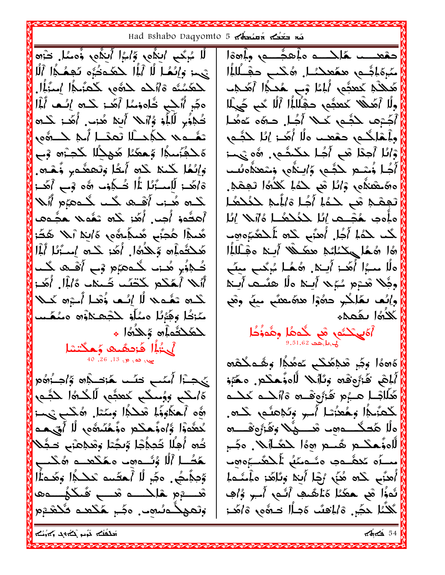ad Bshabo Daqyomto 5 كَتْتُ بْتَكْتُمْ Had Bshabo Daqyomto 5 لَّا مُرِكَبٍ ابْذُى وَّامِرًا أَبْذُى وَْمِمَا. حَزْرَه حقعت هُلِكَ هُ أَهْجُلُ وَأَهْلَا يْ مِنْ وَإِنْهُا لَمْ أَلَمْ! حَكَمَتُوْمٍ تَجْهُدُ! أَلْل مَبْهَلِهُمِ مَعَمَلُالٌ هُكُبِ حَفِّـلَلِّهِ ا لحَعَسُتُه ةَ/أَلَحْهِ لَحَدُّوهِ لَكَعَبُّكُمُ إِسْتَئِلًا. تَعْمَلْكُمْ خَعْجُوبُ أُلْمَا وَجِي هُجِمًّا أَمَجِيهَا وكَمِ أَأْكِيبِ خُاوذِسُا أَهَٰذٍ كُلُّو إِنَّـفٍ أَبْلَا ولًا أَهَدْلًا كَعجَمٍ حَجَّلَالُمَا أَلَّا كَبِ حَيْلًا تُحْلِفُهِ لَلْلَّهِ وُأَآمَلاً أَيْنَا هُنِي أُهَدٍ كُلُو الْمَ أَجَٰدْمِ حَجَّمٍ حَمَلاً أَجَٰلَ حَقَّهِ عَقَمًا ۖ وِلْمَلِكُمِ حقَعت ولًا أُهَٰ: إِنَّا حَقِّمٍ تعُـــم لا كَجُلَـــُلا تَعنْــا أَكْمِ لَحَـــوُّهِ، وْاْئًا أَجِدًا هُم أَجُا حكْمُعَ ۖ. هُو يُحِبّ مَحْجُنُسِمًا وَحِعَنَا مَٰهِجُلًا حَجَرْه وْبِ وْإِنْعُا لَكْنَاهُ كَانُ أَنْتُا وَتَنْعَقُومِ وَّهْدُهِ. أَجُل فُسْعٍ حَجَّمٍ وَٱتِـٰكُمِ فِسْعَدُهُ سُبِّ ەھَىغْتكُوم وْابُل ھَى حْمَٰلِ كَلاُهُا تَعِمْكِ ةَ/هَٰــٰ; لَامـــزُّىُل لَٰہُ نُـــكِہٰوٰ۔ ۞ه فِــبِ ٱهَــٰ; كَتْنَ هُــزَبْ أَنْقَــدِهِ كَبْبِ كَــدْهِ مِنْ أَأَلِيلًا تَعِمْدُ هَي حَدُمُ أَجُا ةَالْمِمْ حَذُكْذَا أَهجُومْ أُجِب أُهُدْ لَكُ يَهُولا هجُوها هِبْهِ جُدْعِ إِمَّا حَكْحَفُ أَهْلَا إِمَّا هُدِمْ! هُجِّنَى هُدِمُ رَهُورٍ هَ/نِدْ آيلا هَجُز لَكَ لَكُمْ أَجُلَ أُهزَى لَكُمْ أَلْكَفَيَوْهِمْ هَكِتُمِلُوهِ وَكِكُوا فُجَز كُلُو استُطُ أَبْلَ الْمِلْكُمْ مِنَا ٱلْمُسْتَمَّةِ مِنَاسًا مِنْ الْمَمْ الْمَنْ ولًا مبرًا أَهُد: أَبِنا. هُهُا يُرِكُبِ مِنِّي تُكِبْفُو هُـنـَ كُـدِهِمْ وَبِ أَنْفَـدِ كَـد أَأَلا أَهَلْكُمْ كُلْحَنَّبِ خَبْلَاتِ وَالْمِلْلِ أُهَٰذِ وِجُلا مْــْرِم ـُـٰٓءَلا أَيــٰذا هلَّا هنَّــٰك أَيــٰذا كْتُمْ يَعْتُمْهُ لَٰلَ إِنَّفٍ ذُهْبًا أَجْرُهِ كَحِلًّا وإِنَّفْ بِغَالَكُمْ دِيُّوْا هُدَّمْتِيْنِ مِنْ وَقْع مَنْزَحُلُ وَهَٰٓئُلُ مِمُلُوۡ كَجۡهِـتَكُوۡوَہٖ مِمُعَـَّـب للأهُ الفَعِيمِ ﴾ لمَعْلِثُه أَمِن وَ لِلْأَهُ الْمُجِبَّ أَمَّا الْمَعْدِينَ مِنْ الْمَوْرَةِ مِنْ الْمَوْرَةِ مِنْ الْمَوْرَةِ مِنْ الْمَوْرَةِ مِنْ الْمَوْ<br>مَا يَا حَدَّثَ 1.62 مِنْ الْمَوْرِيْنَ الْمَوْرَةِ مِنْ الْمَوْرَةِ مِنْ الْمَوْرَةِ مِنْ الْمَوْرَةِ مِنْ ا كَ تُولُّل هُزْدِهُ هُم هُ مَ مُسْتَدْلِ<br>\*\*\* \*\*\* \*\*\* \*\*\* \*\*\* \*\*\* \*\*\* كَاهَهُمْ وَجِّعٍ تَعْجُمُكُمْ مُعَجُّلًا وَهُــمَكْـقَاهِ أَلِمْشِ 'فَزْوَقُوه وِنَاأَلا لْمَاهُ هَكُمْ وَهَيْرَة يُحِبّْوا أَسَمَبِ حَسَّى هَزَدَــدْ٥ وَٓاجِـزُ٥ ة/كُم ووُسكُم كَعثِمِهِ لَالْكُمُّا كِثِّمِ هَٰلَابْهِ الْمَنْهُوَوْ وَهُوَ مِنْ الْمَحْسَمِ مُحَمَّدٍ مِنْ الْمَحْمَدِ رَّةِهِ أَحْكَمُونُهُا تَعْلَيُهُا وَسَيْتًا. 70كَمَعَ يَجْمَعُ لْكَعَبْدِأَا وَهُعْبَٰتَا أَسِرٍ وَتَذِهَنَّهِ كَلَّهِ. مُعثَمَوْا وُمُعذَّمِ مَنَّصُدُهُ وَاللَّهُ لَمَّا أَوْسَعُهُ ْخُه ٰ اُهِلًا خَمِدٖۢجٛا وُبجُنَا وقدهِمْنِي حَـمُّلا لْأُوزُهكُمْ هُسْمَ 30\$ كَعَْلاً لَا وَجُمِ هَٰتُــا ٱلْا وُنُــــەٯِب ممُكْعــــە ھُكْـب مسأه مُعقَّـدب متَّـدمَّةُ لَأَلاهُــبِّهِوب أَهنَّى لَاه هُنَّى رُجْلٍ أَبِيْهِ وَتَلهَّدَ وَلَمَسْمِهِ وَّحِجَّحُ , وَجَرِ لَا أَحْصَٰدَ تَكَلَّمُ الْعَصَلَٰا قَدْمٍ هَلَكَ قَبْ قَبْلَاهُ وَهُ ِثَوْرًا مِّي هِيَّنَا وَٓاشَفِ ٱلَّـٰيِ ٱُنِّـبِ وُۡاَفِ وتَعْهَلُوسُمِبٍ وَجَبِرٍ هُكْعَدِهِ فَكَعْدَمِ لَكْنُا حَجَّرٍ. وْالْمُعَبّْ وْحِلًّا حَـرْهُمْ وْاهْــز بحناأبلاء كالمخط سأله بحلفكة  $\sqrt{4}$   $\sqrt{4}$   $54$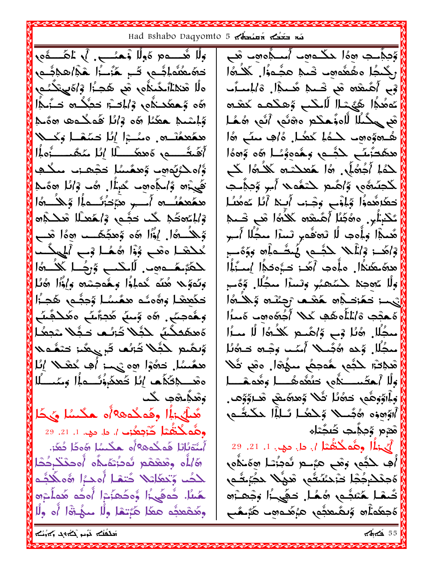## ad Bshabo Daqyomto 5 مَلْمَتْكُمْ Had Bshabo Daqyomto 5

وَلَا شَـــومِ وَوَلَا وَحَــَـــولَ لَكَـــوَى حَمَّمُعُثَّمَ! جُمِعٍ جَنَّبُ أَحْجَٰا هُجَّا مَّذَا مِّعَ وَمِنْكُوبَهُمْ أَجْجَعْهِ هُو مِهْنَمْنَا أَمْرَ الْمَسْتَمَاءَ مِنْكُسُمَاءَ هُه وَحصَّد ذُهر وْالمِدْ: حَجَكُ مَنْ حَبَّد وَّلْمَسْمِ حَقَدًا وَهُ وَٱللَّا فَمَكْمُعَهُ وَهُدِمِ هَهُهُمُنْـه. مِئْـبْرا إِنَّا حَسَّمْـا وَكَـــلا أَفَتُــــهِ هَعفَـــلَا إِنَا مَعْصُــــَّومُا وَٛاهكْرُبُه وَمَا وَهُمُسُلَمْ حَجْمَـٰهِ مَكْـُب ْفَيْءَ ۞ وَٱلْمُأْوَيْتَ كَيْبَدَّا. ۞ وَٱلنَّا ۞ وَٱلْمَطِ همَعهُنُـــهِ أَســـِدٍ هَبَمَٰتُنُـــهِ أَلِمَ كَلِمُـــهُ ا وْلِمْتَحْدِّكُمْ حَدَّى وْلْمُعَىْلَا شَكْبُرُه وَجْحَدُ وَأَوْالُ وَاللَّهُ وَعَقَّاهُ مِنْ وَاللَّهُ وَاللَّهُ وَاللَّهُ وَاللَّهُ خُلْقَـا هِ مَا وُوَّا هُـمَـا وَــ ٱلْمِينَـــ لحَقَبْهُــدِي. لَاعْنَـب وَْرِجُــا كَلْــوَا وَكَوَّى اللَّهُ لَا مَا وَحَقَّوْهُ مِنْ وَإِذَّا الثَّارُ حَكَمِهْا وَهُءِيُهِ مِعْسُلٍ وَجِجْعٍ هَجِزًا وهُوجِسٌ , هُو وُسِيٌ هُجِزَسٌ وهُكِـفِّسٌ ەَمەمَّكْسَى لِكَبُلا تُاسُف نَصَبُلا مْبَعِمَٰا ۖ تَفَسَّمَ بَنْصِيَةٍ صَابَةً كَثَيْبَهِ مِنْ الْمَشْمَرِ هِمَسُلْ دَهُوْا هِهِ يَسْمَ أَبِّ مُعْظَلَ إِنَّا هِ مَسْلِمَكُلُّ إِمَّا خَعْثَرِؤُنَّــهِ أَا وَمَمْــــالَ وَتَعَجَّمْتُوب گُمُمَّ هَيْلُ الْمَيْمَةِ أَوْ مَحْدَدَهِ وَأَوْ مِكْسَنًا وَيَجْمَأَ وهَّمَكُنْقُتِمْ كَبْعِهُنِ ). ط. ص. 1. 21. 29 أَمْتَالُوْلَ هُمَكُمْهَ ۚ أَوْ الْمَكْسُلُ وَوَجَلَ جُعَةٍ. هَالْمَ ومْعْفَمِ نُودُتِهَ لِمُ أُوحِنْكُودُو لحكُب وٌتحفَّلِتِي الصَّارِ أُوجِبُ الشَّوطُقِيمِ هَمِنُا. خُوفُيءُ! وُوَجُعِبُوا أُوجُو هُوَلَّذَهِ ومُهْعِجُه هِمَا هُبُتِهَا وِلًا سِجُرَةًا أَه وَلَا تمنافهم بالمحركم بالم تكلفكخ

وَّحِذَّمَتِ 20\$ حَكَّدُهَتْ أَمِيذُوهَبْ هُبَ رِجُىجُا ەھُھُەھە ضَمِّ عَجُّەؤُا ۚ كَلَّـٰهُا وْمِ أَهَْتَوْه مْعِ خْسِمْ هُسْمْْلِ وْالْمِسْأَب عَمْدًا هَيُسْلَا لَٰاحْبِ وُهِحْمِهِ كَعْدِهِ تَعْمِ حِكْمًا لِلْعَقَّمِ مِتْحَمٍ مِنْهُم أَنَّهِ مِنْهُم ھُـــەۋەھب للـــمُلِّـ كَعكُــل مُ/ف مىلّـى ھُا هَهُدَٰٓسَکُم کَشَمَہِ وَحَقَّوَہُ کَے وَاللہ مَالَ كْمُهْ أُجُمُّلًى مُا هَعْكْسُهِ ݣْلْمُا كْحِ كُجِئْبُثُومِ وَٱصُّعِ كَتَمُّومِه أَمِرٍ وَجَدَّمِتِ حَكَدَهُووُا وَلِمْوْبٍ وَجَــزت أَنــٰهَ أَنُل حَمشُـل عُكْبِلُرِ. وَهُكِّلًا أَهُتْدُو ۚ كَلاُهُ! هَي خُتْمَةِ هُـٰـٰـٰٓآ) وَـٰٓأُوجا لَّا نَـٰهَ قُـٰمِ نَـٰـٰنَا ۖ مَـٰـَٰٓلًا ۖ أُــٰـِر وَٱهَـٰ: وۡٱلۡكَلَا كِثَـٰبُ كَمُشُـٰدَآةٌ وَوَٰٓةٌ ۖـِـزِ هدهُ حَكْتِكُالٍ مِلْمَدٍ أَهَدٍ حَجَّوهُ لِمُ أَمْرِينَا لَهُ مِنْ الْمُؤَلِّلَ وِلًا £9جَة للسَّعبُرِ وَتَسْأَلُ مَجُّلًا. وَّەُب أَيْسِمَ تَكْبَرْتُكُمْ هَنْفُ رَجِئْتُهُ وَلِكُمْ أَ هُـعبَّب هُ/َلْمُأُهفِ كَلا أُجُهُّهِ مِـهَ هُـمأَا مِجْلًا. هُنَا فِي وَّاهُمِع كَلَّـٰهَا لَّا مِمَّا مىجُلًا. وِّدە ھُجَّىـــلا أَمَّـــا وَجْـــه نَـــھُنُا مْدِاحْرًا لِحَبُّمِ هُوجِعُ سِجُرْهَا. وهْمِ ثَلَا وِلْمَوْوَهُمِ حَرْمُلُ ثَلا وُهِرَهُ هُمْ هُدَوَّؤُهِ . أَآؤُهوه هُجُمِيلًا وُلِحْفُما تُبِلِّهُمْ لَكُنْفُونَ أَ هَرْم وُحِكِّبِ حَكْمَاء الْهَجْلًا وهُمكْتُفُتا ). مل مها 1. 21. 29 أَهِ لِحَمْدٍ وَمْدٍ هَيُسْمِ نُوجُنَا وَوَمَنَاْهِ ۖ َهُجِدْدِيجُدَا خَبْدُسُتُمِ ۖ شَهْلاً ۚ حَجَّيْتُمِ ۖ تُمسْلَمُتَبَّمِينَ الْمَمَالِ حَكَمِيدًا وَجْهَدْاتِهِ أَجْعَدَانُهِ وَمَعْمَدِهِ حَبُّعُدِهِ حَبَّدَهِ  $x + 55$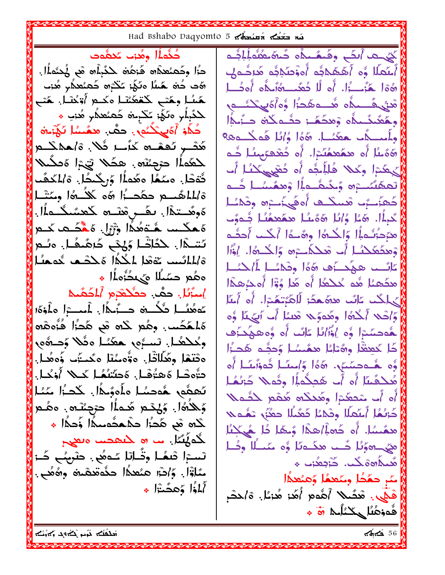Had Bshabo Daqyomto 5 ملعقه بمنعيضه كُنُّه∫ وهُزم كَكِفُوت كَيْرِ هِ أَبَضَ وِقَيْمُ بِلْهِ هُبِهَ بِعُنْدَلَمِ أَذْهَبَ دُا وحُمنُعدَاه هَٰزمُهَ حَدَّرِٱه مْع هُٰدئَهاً!. أَسَّمَلًا وَۚه أَهْهَدُهُ أَهۥ۬ٛوَسَٰذِهُ هَٰدَشُمْهِـ لَهُ هَٰت خُهْ هُنا مَنَهَٰ: عَكْرُه خَعَنُعَكُمْ هُٰ: هُوْا هُنُوْاً. أَو لَا حُعَّبِ هُأَيكُو أُوحُسَا هَسُلِ وهَتبِ كَمْعَنْشَا هَدُمِ أَوْكُشَا. هَتب هَيْهِ صَدْرُواْهُ وَأَوَالَا مَنْ الْمَسْتَمَرَّدُ مِنْ الْمَسْتَمَرَّدَ مِنْ الْمَسْتَمَرَّدَ مِنْ لْكَبِلُرِ دَنَّهُۥ ٕ يُكْبِيهِ ۖ هُمُعَكُلٍ هُنِي ﴾ وهَعَيْدُ مِمْهُ وَمِحَمَّةٍ حَثَـٰهَكُمْ صَنُمْ! كُمُوْ أَوَّلِيْكُمُّهِ، حَقَّ. مَعْشَمَا نَكْتَوْهُ وأسلف هعَنْها. وَهُمَا وُاللَّا قَدِيْدِهِ؟ هُدْبِ نُعفُسُهُ كَلَّابٍ ثُلاً. 16ْهَدْكُسُمْ هَٰهُما أَو محَمَّعَمُتَةِ!. أَو تُعْجَمِينًا شَو لحَمَّماً حَرْجَنَّة و هَكُلا تَيْمَ أَمْكُنَلا حَكِمَةِ! وكَلا قُللًاجُه أَه فُعْ<sub>جَلا</sub> كَمَا أَب ثَّةْهَا. مَنَّعُا مَعْماًا وُرِيْكْتُا. ةُ/الْكَفَّ تَعَطِّسُـــْرَهُ وُخَفَــدَا وُهِعُنْسًا خُــد ةالملدُّسع حمَّد أا هُو كَلاَّ هُوا وِسَتْسا كَهْزَكْتُ مْسْكُلْفْ أُهْفَى زُكْرُه وَثْلَاسًا هُوهُــتِمْلُ. بِفَــمِ هُنْـــرَه كَعْشَيْكُــمِلْلَ. ِّكْرِلًا. هَٰنَا وُٰاِنًا هَٰذَٰىئًا مِنْقَعِقُنًا فُءوَّب هَهْكَسَتْ هُتَمَعُمُّا وَرْرَا. هُهَّكُتْ كُنْعَ أمرَدُنُدمُ! وَاحْدَهُ! وهُـدُا أَحْب أَحثَـد ىُتىـدْا. حْكَاتْـا وَهْبْ حُرْهُىعُـا. ەنْـمْ وْمِحَمَّكْسًا أَبِّ مْكَاسِرْهِ وَالْحَدَّةُ!. إِذًّا ة/لملنَّسب تفقُّط لمكُمُّا مَحْشَـم لَهُمسُـل تلأسب هجّحتَوه وهَا وشَهْسًا لِمُكْسَل ه الْمَتْصَرِّه الْمَنْتَ هِ٥ُ٥ محَمِيْلِ هُو يُحِكْظُ أَو هَٰلِ وُوَّلٍ أُوحِرُهِجَالِ إِسْتَمَاءِ. حَمَّدِ. حَثَكْثَرَمَ ٱلْمُحَمَّدِ أَجْهَلُكَتْ عَانَتْ هُدَهُ هَذَا لَلْهُمُ تَهْدَا. أَنْ أَسَلَ عَمْنُــا ثَكْــة حــنُمْاً. لْمـــْرَا مِلْفَةَ! وَٰاتُكَ أَكْتُوا وِهُدَوِّكَ هُنئا أَبِّ أَيَّكَنَا وُه مُلَعَّصُب. وهُم كُلُّه هُم هُجَّأَ فُنُوهُه هُوَجِسُدًا وَّهِ إِذَّاتُنَا عَانَبَ أَوْ وُوهِجُجَرَفَ وِكْلِّهُا. تَسْرُى حَقِّنَا وَثَلاَ وَصَوَّى كَلّْ كَعِنْقُلْ وَهُدْلُنَّا مَحْسَسًا وَحَثِّ هَدْ:ُا ەڭتقا وھُلاتْا. ەۋْەمىُنا ەڭىسۇب ۆەھُل. وُّه هُــهجسَنِّي. 6% وُاسِبًا شُوزَيْنَا أَه دِّوْمَـا وَهِزُقْـا. وَحَنْتُهُـا كَــلا أُوْحُـا. مُحْدَّمَنَا أَو أَبِ هَجِجُواً وَجُوحًا جَرْبُهُا تَهفَّع هُوصُا وأُووُهُ). كَدَرَٰا مَنْا أَه أَبِ سْمَعَكُمْ! ومُحكِّدُه مُعْقَم لِمُشَمِّلا وَ اللّٰہُ ۔ وَلِحْـم هُـماُ احرَجِنْـه . ممُـم حَرْبُهُا أَعْدَمُا وَثَمْنَا دَهَّمُا حَعَّةٍ عَفْدَةٍ لَّاهِ مْعِ هَٰحَٰۥٗا حِكْمَحُمْسِمًّا وَٰحِمًّا ﴾ مَعْسُلا أَو دُومَاْ/هِدَا وُحَمَّا دُا هُكِكِنَا گەگگا، ما ھ كىھچىدا ەتھى ھکے دوَئا کُے ملک کا وُہ سَمال وکا تَسْتَرَا ثَنِغُنَا وَثَّنَانَا عُنْمَىٰ. حَبْضِكَ خَنْزَ أَهُدَدُوهُكُت. كُنْجِعْنِت \* مَّاوَّاً. وَٰاٰحَۃ هنُعِدًا حَفَّةَتَعَصَّةَ وَهُمَّے. والمكر حكحًا وسَعد الله وَهنُعدَا أَلْمَوْا وَهِشَا \* قَطِّي . شَصَّلا أَهُّوم أُهُدْ هُزْمًا . 16هـُمْ فَعَوْهَٰنُا حَمَلُكُمْ لَاهُ وَهُ سُنْهُمْ لَهُو بِالْمُعَامِرِ الْمُسْتَمَرَةَ بِالْمُؤْمَنَ  $\frac{1}{2}$  56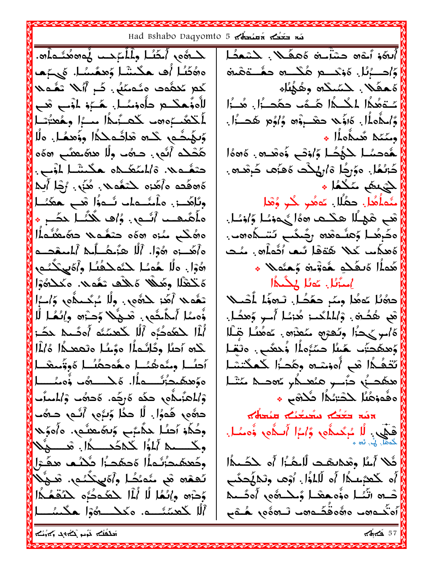Arad Bshabo Daqyomto 5 كَتْتُ بْتُكْتُمُ Had Bshabo Daqyomto 5 لَّكَ أَمَثَنَا وِلْمُنَّزِيتَ لَمُوهَدُواْهِ. أَلَّهُوَ أَحْوَهُ حَشَرْتُهُ وَهَقَلًا . لَكَتَيْهَجُل ەھكىل أف ھگىشا ۇھۇسىل كېرىھ وَاحِسَانًا. هَوْتَحِسْمِ هُكْسُرُهِ حَقَّسَةَهْمَةِ كُمْ كُمْقُومَ وَشُومَتُعُ. كُلِّ أَلَمْ الْهُومَلَا هُ هَقُلا . لِمَسْكُلُهُ وهُلُمُلُهُ سُتَمُدُا الْحُدُا هَــةَ حمَّحــزًا. مُــزًا للْمؤْجِكُ مِنْ دَاْمُؤْشَانَ جَمْءُوْ الْوْبَ قُبَ لَمْتَحَمَّدَوه لَكَعِنُوهُ! مِدْإِ وِهُعِنُوْنَا وَّامِدْأَا. هَاذَىلا حصْرِؤْهِ وُاوُم هَصَـٰزًا. وَٰىٰهُـڪَ گـُدُّ مْلاَئـُـمِـكِٰدُا وِؤُمِنِهُـا. وَلَا أومنته مُعلَّماً \* هَضَكُمْ أَنَّهُ فَ حَدُّ وَلَّا هُدَهَ عَقَبَ وَهُ هَ هُوصسًا حَجُصًا وَ}وْثَى وُوهْــِرَهِ . وَاهْوَا دَهُـد »، ٥ أُمُمَعُـده هكُـشَـا مُؤَبِّ. كَرْنُعُا. •وَرِجًا ۞ارلطُّت هَٰ فَرَعَت حَرِثَفُتِهِ. كَ مَعْدَد وأَهُزو لِلْتَغُدِينَ. مُنَّى الْإِجْرَاءُ أَبِيرًا مَنْ والمحكم مكعركه في وِتُاهَد: . ه أَمْـُــه مات شَــه وَٰا هَبِ ــه هَمْــا ﴾ منْداْهُا. حمُلًا. عَمْدِ حُرِ وُهَا هأَهُبِهِــبِ أَنْبَهِ. وُأَهَا لَلْأَسُلَ حَضَـرٍ \* هْبِ هْهِـلْا هِـكْـمِـ 1هُمْ يُـمِنْرَاءُ وَإِنْسَاءِ ه المُكْمِ مُنْ هَ وَ وَهُدَه حَقْدَ اللَّهُ مِثْلُهُ مِنْ ەكرەدا ۇھنەھدە رېڭى ئتىسكەھە. هِ أَهَّــزهِ هُوْلِ أَلَّا هِزْمِكْساكِمْ أَلْمَعْقَصِــهِ ةَهِكَمِب كَنْهُ الْقَافَا لَيْفَ أَثْمَاءُ وَالْمُحَمَّلَةِ مُنْتَ رْهَوْلِ. وَلَا هُوسُل حَتَوْحُفُطُ وِأَوْبِيِكْسُمِ أَهُداْ أَمْلِكُمْ هُدَوْمَةً وَهُدُه لَا \* هَ تَكْتُلُا ومُحِلًّا ۚ مَحْلُف يَعُمِينَ ۚ مَكْلَمُوۡوَا إمنُّنْل. عَمْل لِكُمْأَ دەُنَا مُەھَا مِمَّى حَمَّصًا. تىمۇَا لَمَصْلا تَعْدِيد أَهَٰذِ لِحَدُّوبِ. وِلَا خُبِكَــدَامِ وَاُكْتِرَا ذُّەممُل أَمكَّمَتُوم. شَـوْكًا وَحـْزَرَه وإنْسُل لُّا هْمْ هُشُـٰهْ. وْالْمْلَكْسْ; هُٰزْسُـٰلْ أُسـِر وَّهْشُـلْ. أَمْلَا لِحَمَّدَوَّةِ أَلَّا لِخَمْسَنَّهَ أَوضُمْ حَضَرَ كَاسِرٍ ﴾ وَاسْتَ مَعْدُونَ مِنْ مِنْ مِنْ مِنْ مِنْ الْمَرَىٰ وَالْمَاسَ لْكُلُّهِ أَحِبًّا وَكَانُـهِـأَا دَوَّـبُـًّا دَبْعَـعِـدًا ذَٰالِمَا! وُهِهَدَّتَ هَمُا حَمَّرُهِ أَا ذُهِهَبِ . وَتَقَا أحبُّا ومِنْدِهُمُا دِهُدِدُهُما دُوقُمِعْنَا تَّتَـفُـدًا مْبِ أُهوْسْـهِ وِهَٰتُ¦ كَـٰمَكْتَسْـا ەؤەدەمدۇنُــــەلمُّا. ەَـكــــە مُــ ۋەممُــــا ههَجسُ، جَنِّبٍ هنهه مُهجمٍ مُعَصَّلٍ مَنْشَا وْٱلمْتَنَدُّورِ حَدَّه هُرَجُه. هُحَدُّب وْٱلْمَسَّ ەفُەزمُ*نا* للنُترُب<sup>اُ</sup>ا ئ<sup>ى</sup>لەُم \* حَدُّى ۖ فَوَٰوٗاً. لَٰا حَذَا وَبَيْهِ ۚ أَنَّـهِ حَـدَهُ Khrin Kiririn Kriti min قْتِلَى. لَا يُبْكِنفُونَ وَّاْتُرَا أَنْتَقُونَ وَّْوَسُلَ.<br>حُمَلَ فِي تُوج وِحُكُوْ آَحِنُا حَكَّمَّى وَبِّهَ حَنَّـهِ. ٥/٥وَجِد وكمسمع أَمْلُوا كَلاَحُمْسِــدْا. مْسَـــوْلا وحُمهُمحُرُنُـماً اهَحهُد ُ احتَكْـم محكَــرَ الْمَ فَلا أَمِلًا وِتَعِدْتِهُتِ لَّاحِكُوْا أَه حَضَـٰهُا لَّٰهِ هُوَ مُدَكُّلٍ وِٱوَّلِيَكْتُمِ. شَـٰهُمْ <mark>ا</mark> أَه كَعرَّمكمُا أَه لَالمُوَٰا. اُوْها وِتَمْلَحِمَّب وَحْزَه وِإِنْعُا لَٰا أَٰذًا لِحَمَّدِهُ؟ لِكَنَّفَـدًا تْدە اتَّىُـا ەۋْەھىتْدا وُبىلىھُە )ُەئىـىم أَلَّا لَكَعْتَنَفْ مَكْلَّ وَّةَ الْمَكْتَبَ ا كَمَدُ مِنْ مَعْدَدِهِ مِنْ مَدْمَةٍ مِنْ مَدْمَةٍ لَّكُمُ مُعَامَلٍ مَنْ الْمُعَامَلِ الْمُعَامَلِينَ  $\frac{1}{2}$  57